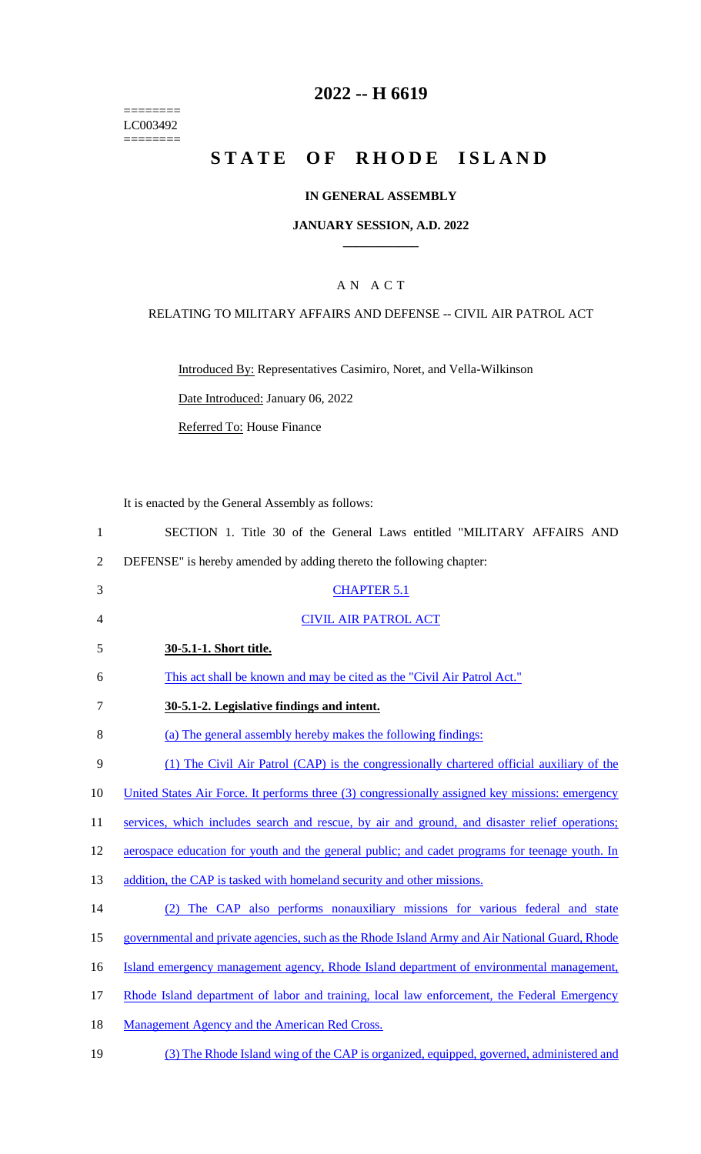======== LC003492  $=$ 

# **2022 -- H 6619**

# **STATE OF RHODE ISLAND**

## **IN GENERAL ASSEMBLY**

#### **JANUARY SESSION, A.D. 2022 \_\_\_\_\_\_\_\_\_\_\_\_**

# A N A C T

#### RELATING TO MILITARY AFFAIRS AND DEFENSE -- CIVIL AIR PATROL ACT

Introduced By: Representatives Casimiro, Noret, and Vella-Wilkinson

Date Introduced: January 06, 2022

Referred To: House Finance

It is enacted by the General Assembly as follows:

| $\mathbf{1}$   | SECTION 1. Title 30 of the General Laws entitled "MILITARY AFFAIRS AND                          |
|----------------|-------------------------------------------------------------------------------------------------|
| $\sqrt{2}$     | DEFENSE" is hereby amended by adding thereto the following chapter:                             |
| 3              | <b>CHAPTER 5.1</b>                                                                              |
| $\overline{4}$ | <b>CIVIL AIR PATROL ACT</b>                                                                     |
| 5              | 30-5.1-1. Short title.                                                                          |
| 6              | This act shall be known and may be cited as the "Civil Air Patrol Act."                         |
| $\tau$         | 30-5.1-2. Legislative findings and intent.                                                      |
| 8              | (a) The general assembly hereby makes the following findings:                                   |
| $\mathbf{9}$   | (1) The Civil Air Patrol (CAP) is the congressionally chartered official auxiliary of the       |
| 10             | United States Air Force. It performs three (3) congressionally assigned key missions: emergency |
| 11             | services, which includes search and rescue, by air and ground, and disaster relief operations;  |
| 12             | aerospace education for youth and the general public; and cadet programs for teenage youth. In  |
| 13             | addition, the CAP is tasked with homeland security and other missions.                          |
| 14             | (2) The CAP also performs nonauxiliary missions for various federal and state                   |
| 15             | governmental and private agencies, such as the Rhode Island Army and Air National Guard, Rhode  |
| 16             | Island emergency management agency, Rhode Island department of environmental management,        |
| 17             | Rhode Island department of labor and training, local law enforcement, the Federal Emergency     |
| 18             | Management Agency and the American Red Cross.                                                   |
| 19             | (3) The Rhode Island wing of the CAP is organized, equipped, governed, administered and         |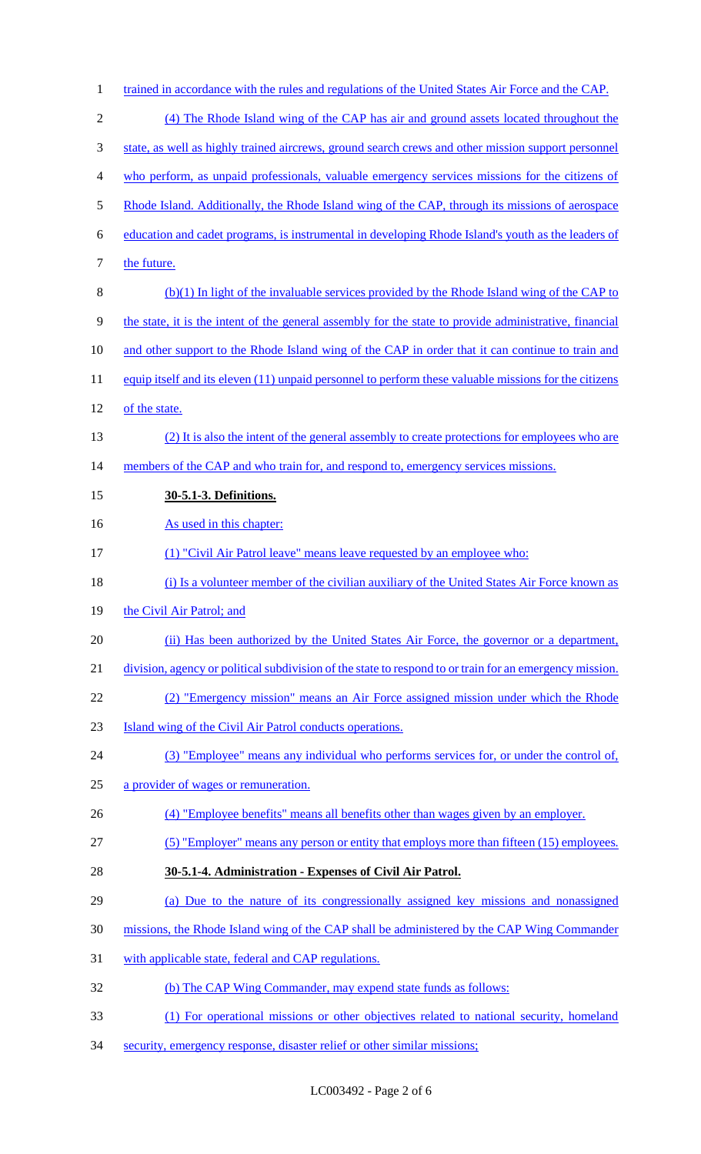- 1 trained in accordance with the rules and regulations of the United States Air Force and the CAP. (4) The Rhode Island wing of the CAP has air and ground assets located throughout the state, as well as highly trained aircrews, ground search crews and other mission support personnel who perform, as unpaid professionals, valuable emergency services missions for the citizens of 5 Rhode Island. Additionally, the Rhode Island wing of the CAP, through its missions of aerospace education and cadet programs, is instrumental in developing Rhode Island's youth as the leaders of 7 the future. (b)(1) In light of the invaluable services provided by the Rhode Island wing of the CAP to the state, it is the intent of the general assembly for the state to provide administrative, financial 10 and other support to the Rhode Island wing of the CAP in order that it can continue to train and 11 equip itself and its eleven (11) unpaid personnel to perform these valuable missions for the citizens 12 of the state. (2) It is also the intent of the general assembly to create protections for employees who are 14 members of the CAP and who train for, and respond to, emergency services missions. **30-5.1-3. Definitions.**  16 As used in this chapter: (1) "Civil Air Patrol leave" means leave requested by an employee who: 18 (i) Is a volunteer member of the civilian auxiliary of the United States Air Force known as 19 the Civil Air Patrol; and (ii) Has been authorized by the United States Air Force, the governor or a department, 21 division, agency or political subdivision of the state to respond to or train for an emergency mission. (2) "Emergency mission" means an Air Force assigned mission under which the Rhode Island wing of the Civil Air Patrol conducts operations. (3) "Employee" means any individual who performs services for, or under the control of, a provider of wages or remuneration. (4) "Employee benefits" means all benefits other than wages given by an employer. (5) "Employer" means any person or entity that employs more than fifteen (15) employees. **30-5.1-4. Administration - Expenses of Civil Air Patrol.**  (a) Due to the nature of its congressionally assigned key missions and nonassigned 30 missions, the Rhode Island wing of the CAP shall be administered by the CAP Wing Commander with applicable state, federal and CAP regulations. (b) The CAP Wing Commander, may expend state funds as follows: (1) For operational missions or other objectives related to national security, homeland
- security, emergency response, disaster relief or other similar missions;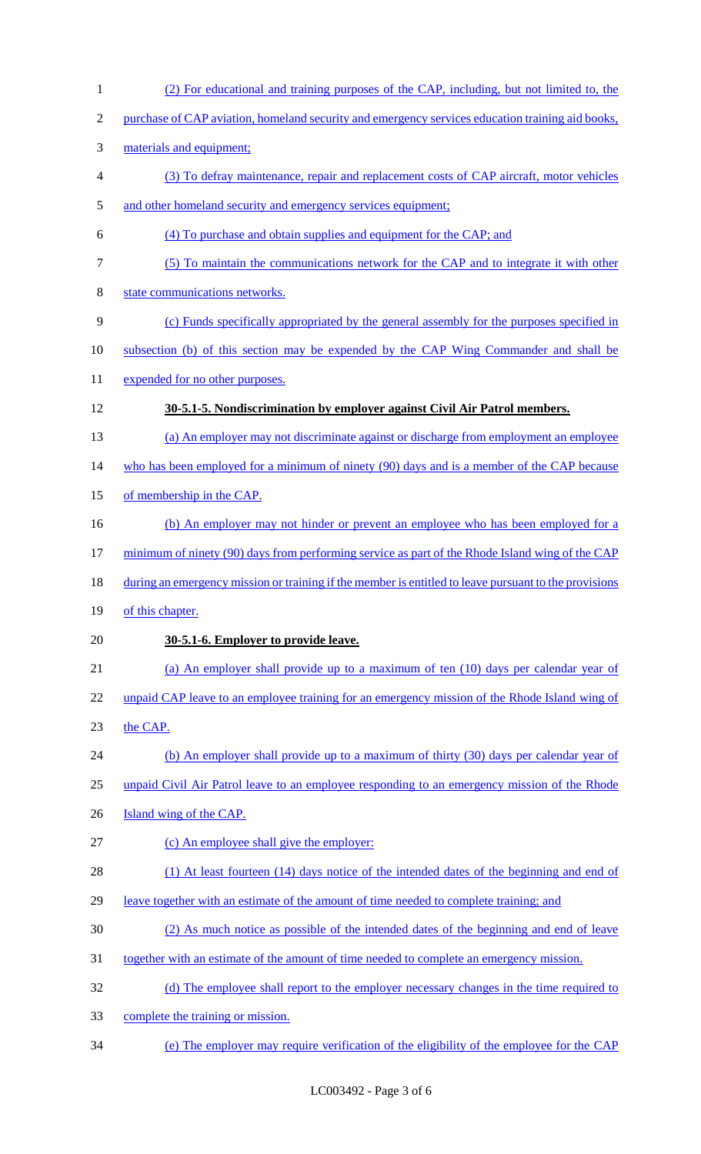| $\mathbf{1}$   | (2) For educational and training purposes of the CAP, including, but not limited to, the              |
|----------------|-------------------------------------------------------------------------------------------------------|
| $\overline{2}$ | purchase of CAP aviation, homeland security and emergency services education training aid books,      |
| 3              | materials and equipment;                                                                              |
| 4              | (3) To defray maintenance, repair and replacement costs of CAP aircraft, motor vehicles               |
| 5              | and other homeland security and emergency services equipment;                                         |
| 6              | (4) To purchase and obtain supplies and equipment for the CAP; and                                    |
| 7              | (5) To maintain the communications network for the CAP and to integrate it with other                 |
| 8              | state communications networks.                                                                        |
| 9              | (c) Funds specifically appropriated by the general assembly for the purposes specified in             |
| 10             | subsection (b) of this section may be expended by the CAP Wing Commander and shall be                 |
| 11             | expended for no other purposes.                                                                       |
| 12             | 30-5.1-5. Nondiscrimination by employer against Civil Air Patrol members.                             |
| 13             | (a) An employer may not discriminate against or discharge from employment an employee                 |
| 14             | who has been employed for a minimum of ninety (90) days and is a member of the CAP because            |
| 15             | of membership in the CAP.                                                                             |
| 16             | (b) An employer may not hinder or prevent an employee who has been employed for a                     |
| 17             | minimum of ninety (90) days from performing service as part of the Rhode Island wing of the CAP       |
| 18             | during an emergency mission or training if the member is entitled to leave pursuant to the provisions |
| 19             | of this chapter.                                                                                      |
| 20             | 30-5.1-6. Employer to provide leave.                                                                  |
| 21             | (a) An employer shall provide up to a maximum of ten (10) days per calendar year of                   |
| 22             | unpaid CAP leave to an employee training for an emergency mission of the Rhode Island wing of         |
| 23             | the CAP.                                                                                              |
| 24             | (b) An employer shall provide up to a maximum of thirty (30) days per calendar year of                |
| 25             | unpaid Civil Air Patrol leave to an employee responding to an emergency mission of the Rhode          |
| 26             | Island wing of the CAP.                                                                               |
| 27             | (c) An employee shall give the employer:                                                              |
| 28             | (1) At least fourteen (14) days notice of the intended dates of the beginning and end of              |
| 29             | leave together with an estimate of the amount of time needed to complete training; and                |
| 30             | (2) As much notice as possible of the intended dates of the beginning and end of leave                |
| 31             | <u>together with an estimate of the amount of time needed to complete an emergency mission.</u>       |
| 32             | (d) The employee shall report to the employer necessary changes in the time required to               |
| 33             | complete the training or mission.                                                                     |
| 34             | (e) The employer may require verification of the eligibility of the employee for the CAP              |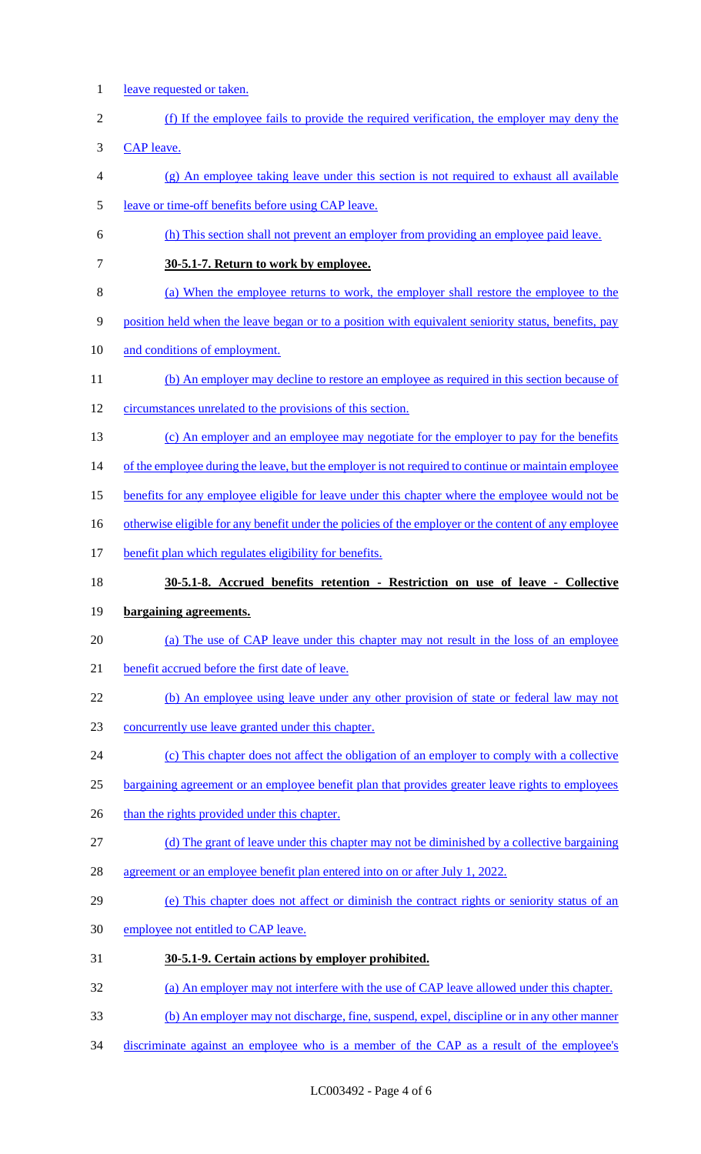- 1 leave requested or taken.
- (f) If the employee fails to provide the required verification, the employer may deny the

CAP leave.

- (g) An employee taking leave under this section is not required to exhaust all available
- leave or time-off benefits before using CAP leave.
- (h) This section shall not prevent an employer from providing an employee paid leave.
- **30-5.1-7. Return to work by employee.**
- (a) When the employee returns to work, the employer shall restore the employee to the
- position held when the leave began or to a position with equivalent seniority status, benefits, pay
- and conditions of employment.
- 11 (b) An employer may decline to restore an employee as required in this section because of
- circumstances unrelated to the provisions of this section.
- (c) An employer and an employee may negotiate for the employer to pay for the benefits
- 14 of the employee during the leave, but the employer is not required to continue or maintain employee
- 15 benefits for any employee eligible for leave under this chapter where the employee would not be
- 16 otherwise eligible for any benefit under the policies of the employer or the content of any employee
- 17 benefit plan which regulates eligibility for benefits.
- **30-5.1-8. Accrued benefits retention - Restriction on use of leave - Collective**

## **bargaining agreements.**

- 20 (a) The use of CAP leave under this chapter may not result in the loss of an employee
- benefit accrued before the first date of leave.
- 22 (b) An employee using leave under any other provision of state or federal law may not
- concurrently use leave granted under this chapter.
- (c) This chapter does not affect the obligation of an employer to comply with a collective
- bargaining agreement or an employee benefit plan that provides greater leave rights to employees
- 26 than the rights provided under this chapter.
- (d) The grant of leave under this chapter may not be diminished by a collective bargaining
- 28 agreement or an employee benefit plan entered into on or after July 1, 2022.
- (e) This chapter does not affect or diminish the contract rights or seniority status of an
- 30 employee not entitled to CAP leave.
- **30-5.1-9. Certain actions by employer prohibited.**
- (a) An employer may not interfere with the use of CAP leave allowed under this chapter.
- (b) An employer may not discharge, fine, suspend, expel, discipline or in any other manner
- 34 discriminate against an employee who is a member of the CAP as a result of the employee's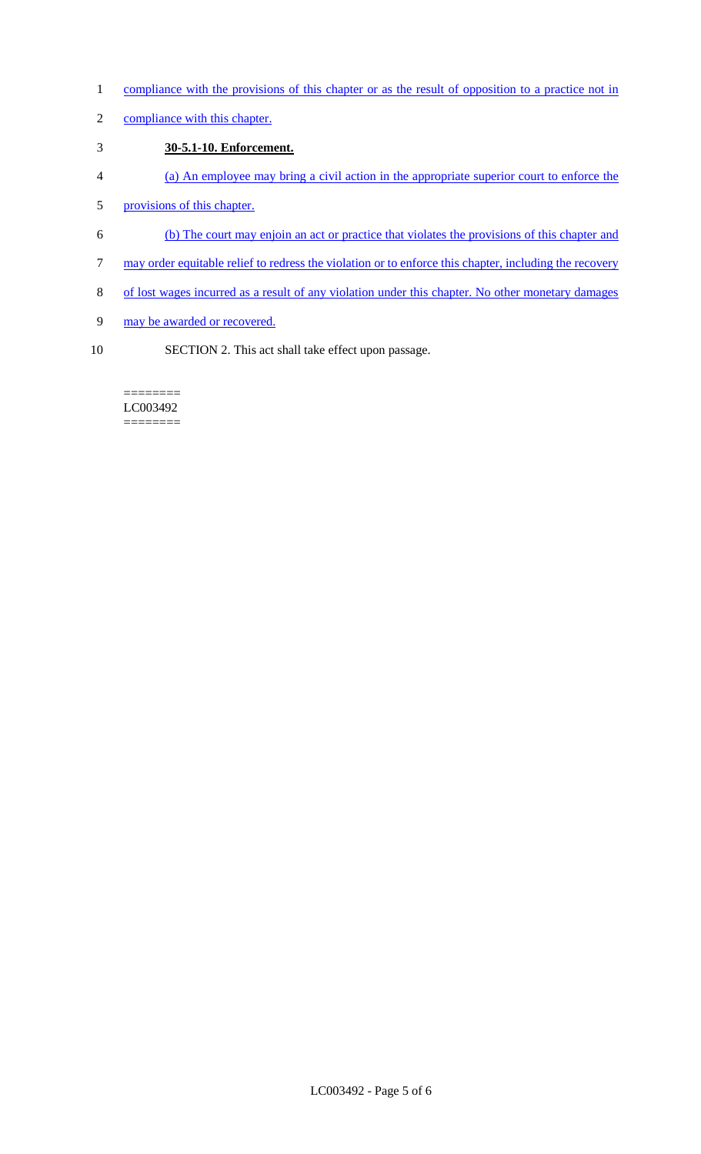- 1 compliance with the provisions of this chapter or as the result of opposition to a practice not in
- 2 compliance with this chapter.

# 3 **30-5.1-10. Enforcement.**

- 4 (a) An employee may bring a civil action in the appropriate superior court to enforce the
- 5 provisions of this chapter.
- 6 (b) The court may enjoin an act or practice that violates the provisions of this chapter and
- 7 may order equitable relief to redress the violation or to enforce this chapter, including the recovery
- 8 of lost wages incurred as a result of any violation under this chapter. No other monetary damages
- 9 may be awarded or recovered.
- 10 SECTION 2. This act shall take effect upon passage.

#### ======== LC003492 ========